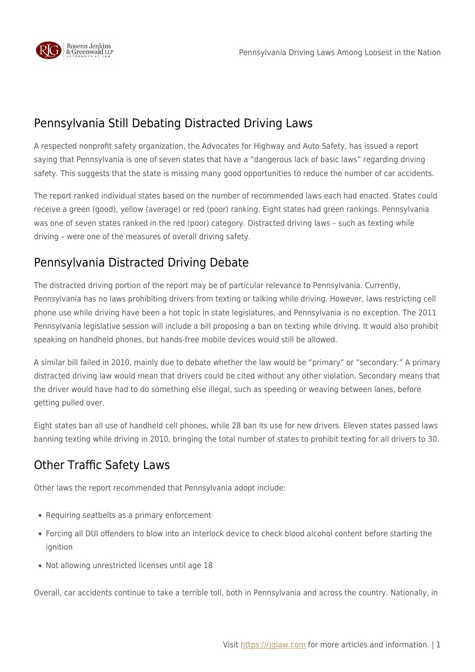

## Pennsylvania Still Debating Distracted Driving Laws

A respected nonprofit safety organization, the Advocates for Highway and Auto Safety, has issued a report saying that Pennsylvania is one of seven states that have a "dangerous lack of basic laws" regarding driving safety. This suggests that the state is missing many good opportunities to reduce the number of car accidents.

The report ranked individual states based on the number of recommended laws each had enacted. States could receive a green (good), yellow (average) or red (poor) ranking. Eight states had green rankings. Pennsylvania was one of seven states ranked in the red (poor) category. Distracted driving laws – such as texting while driving – were one of the measures of overall driving safety.

## Pennsylvania Distracted Driving Debate

The distracted driving portion of the report may be of particular relevance to Pennsylvania. Currently, Pennsylvania has no laws prohibiting drivers from texting or talking while driving. However, laws restricting cell phone use while driving have been a hot topic in state legislatures, and Pennsylvania is no exception. The 2011 Pennsylvania legislative session will include a bill proposing a ban on texting while driving. It would also prohibit speaking on handheld phones, but hands-free mobile devices would still be allowed.

A similar bill failed in 2010, mainly due to debate whether the law would be "primary" or "secondary." A primary distracted driving law would mean that drivers could be cited without any other violation. Secondary means that the driver would have had to do something else illegal, such as speeding or weaving between lanes, before getting pulled over.

Eight states ban all use of handheld cell phones, while 28 ban its use for new drivers. Eleven states passed laws banning texting while driving in 2010, bringing the total number of states to prohibit texting for all drivers to 30.

## Other Traffic Safety Laws

Other laws the report recommended that Pennsylvania adopt include:

- Requiring seatbelts as a primary enforcement
- Forcing all DUI offenders to blow into an interlock device to check blood alcohol content before starting the ignition
- Not allowing unrestricted licenses until age 18

Overall, car accidents continue to take a terrible toll, both in Pennsylvania and across the country. Nationally, in